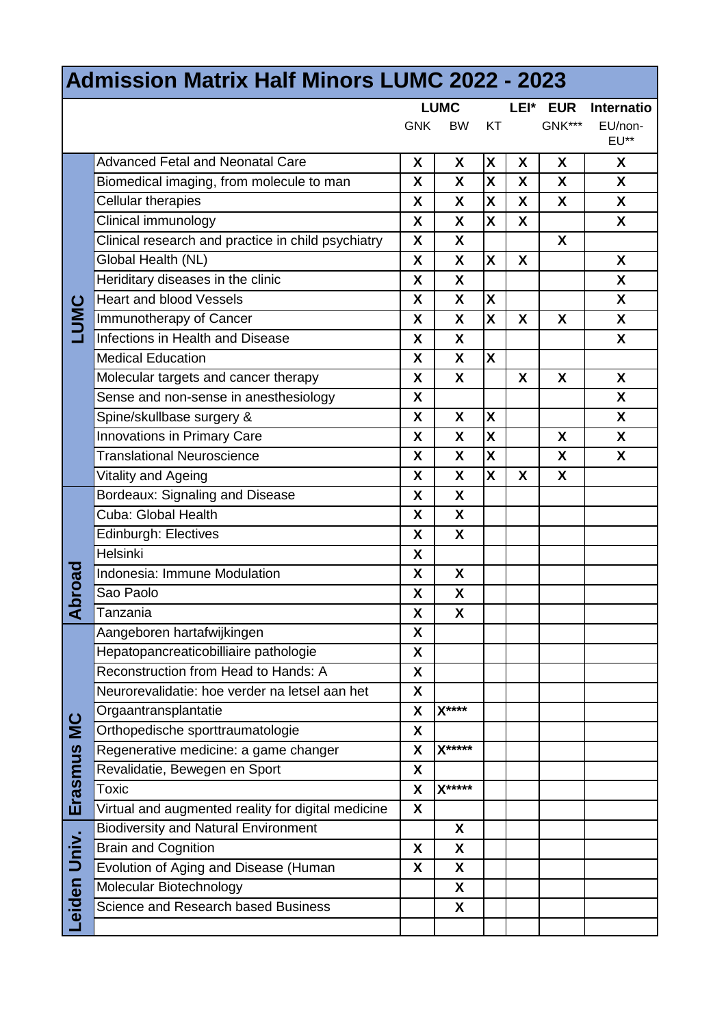| <b>Admission Matrix Half Minors LUMC 2022 - 2023</b> |                                                    |                           |                    |                           |      |            |                   |
|------------------------------------------------------|----------------------------------------------------|---------------------------|--------------------|---------------------------|------|------------|-------------------|
|                                                      |                                                    |                           | <b>LUMC</b>        |                           | LEI* | <b>EUR</b> | <b>Internatio</b> |
|                                                      |                                                    | <b>GNK</b>                | <b>BW</b>          | KT                        |      | GNK***     | EU/non-<br>EU**   |
| <b>TUMC</b>                                          | <b>Advanced Fetal and Neonatal Care</b>            | X                         | X                  | $\boldsymbol{\mathsf{X}}$ | X    | X          | X                 |
|                                                      | Biomedical imaging, from molecule to man           | X                         | X                  | $\boldsymbol{\mathsf{X}}$ | X    | X          | X                 |
|                                                      | Cellular therapies                                 | X                         | X                  | X                         | X    | X          | X                 |
|                                                      | Clinical immunology                                | X                         | X                  | X                         | X    |            | X                 |
|                                                      | Clinical research and practice in child psychiatry | X                         | $\boldsymbol{X}$   |                           |      | X          |                   |
|                                                      | Global Health (NL)                                 | X                         | X                  | X                         | X    |            | X                 |
|                                                      | Heriditary diseases in the clinic                  | X                         | X                  |                           |      |            | X                 |
|                                                      | <b>Heart and blood Vessels</b>                     | X                         | X                  | X                         |      |            | X                 |
|                                                      | Immunotherapy of Cancer                            | X                         | X                  | $\mathsf{x}$              | X    | X          | X                 |
|                                                      | Infections in Health and Disease                   | X                         | X                  |                           |      |            | X                 |
|                                                      | <b>Medical Education</b>                           | X                         | X                  | X                         |      |            |                   |
|                                                      | Molecular targets and cancer therapy               | X                         | $\mathsf{X}$       |                           | X    | X          | X                 |
|                                                      | Sense and non-sense in anesthesiology              | X                         |                    |                           |      |            | X                 |
|                                                      | Spine/skullbase surgery &                          | X                         | X                  | X                         |      |            | X                 |
|                                                      | <b>Innovations in Primary Care</b>                 | X                         | X                  | X                         |      | X          | X                 |
|                                                      | <b>Translational Neuroscience</b>                  | X                         | X                  | X                         |      | X          | X                 |
|                                                      | Vitality and Ageing                                | X                         | X                  | X                         | X    | X          |                   |
| <b>Noroad</b>                                        | Bordeaux: Signaling and Disease                    | X                         | $\mathsf{x}$       |                           |      |            |                   |
|                                                      | Cuba: Global Health                                | X                         | X                  |                           |      |            |                   |
|                                                      | <b>Edinburgh: Electives</b>                        | X                         | X                  |                           |      |            |                   |
|                                                      | <b>Helsinki</b>                                    | X                         |                    |                           |      |            |                   |
|                                                      | Indonesia: Immune Modulation                       | X                         | X                  |                           |      |            |                   |
|                                                      | Sao Paolo                                          | X                         | X                  |                           |      |            |                   |
|                                                      | Tanzania                                           | X                         | $\pmb{\mathsf{X}}$ |                           |      |            |                   |
| <b>SI</b><br>Erasmus                                 | Aangeboren hartafwijkingen                         | X                         |                    |                           |      |            |                   |
|                                                      | Hepatopancreaticobilliaire pathologie              | χ                         |                    |                           |      |            |                   |
|                                                      | Reconstruction from Head to Hands: A               | X                         |                    |                           |      |            |                   |
|                                                      | Neurorevalidatie: hoe verder na letsel aan het     | X                         |                    |                           |      |            |                   |
|                                                      | Orgaantransplantatie                               | X                         | $X***$             |                           |      |            |                   |
|                                                      | Orthopedische sporttraumatologie                   | X                         |                    |                           |      |            |                   |
|                                                      | Regenerative medicine: a game changer              | X                         | $X***$             |                           |      |            |                   |
|                                                      | Revalidatie, Bewegen en Sport                      | X                         |                    |                           |      |            |                   |
|                                                      | Toxic                                              | X                         | X*****             |                           |      |            |                   |
|                                                      | Virtual and augmented reality for digital medicine | X                         |                    |                           |      |            |                   |
| Leiden Univ.                                         | <b>Biodiversity and Natural Environment</b>        |                           | X                  |                           |      |            |                   |
|                                                      | <b>Brain and Cognition</b>                         | $\boldsymbol{\mathsf{X}}$ | X                  |                           |      |            |                   |
|                                                      | Evolution of Aging and Disease (Human              | X                         | X                  |                           |      |            |                   |
|                                                      | Molecular Biotechnology                            |                           | X                  |                           |      |            |                   |
|                                                      | Science and Research based Business                |                           | X                  |                           |      |            |                   |
|                                                      |                                                    |                           |                    |                           |      |            |                   |